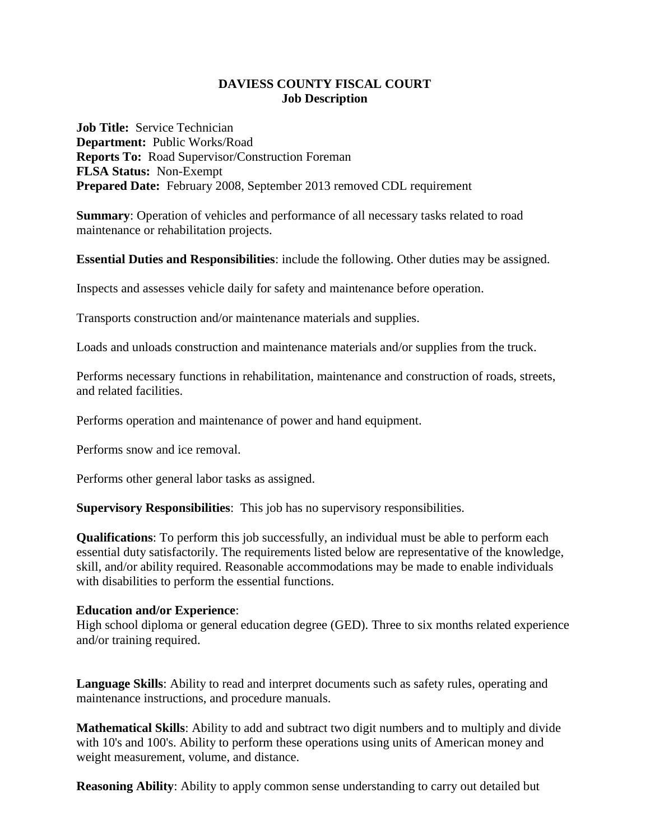## **DAVIESS COUNTY FISCAL COURT Job Description**

**Job Title:** Service Technician **Department:** Public Works/Road **Reports To:** Road Supervisor/Construction Foreman **FLSA Status:** Non-Exempt **Prepared Date:** February 2008, September 2013 removed CDL requirement

**Summary**: Operation of vehicles and performance of all necessary tasks related to road maintenance or rehabilitation projects.

**Essential Duties and Responsibilities**: include the following. Other duties may be assigned.

Inspects and assesses vehicle daily for safety and maintenance before operation.

Transports construction and/or maintenance materials and supplies.

Loads and unloads construction and maintenance materials and/or supplies from the truck.

Performs necessary functions in rehabilitation, maintenance and construction of roads, streets, and related facilities.

Performs operation and maintenance of power and hand equipment.

Performs snow and ice removal.

Performs other general labor tasks as assigned.

**Supervisory Responsibilities**: This job has no supervisory responsibilities.

**Qualifications**: To perform this job successfully, an individual must be able to perform each essential duty satisfactorily. The requirements listed below are representative of the knowledge, skill, and/or ability required. Reasonable accommodations may be made to enable individuals with disabilities to perform the essential functions.

## **Education and/or Experience**:

High school diploma or general education degree (GED). Three to six months related experience and/or training required.

**Language Skills**: Ability to read and interpret documents such as safety rules, operating and maintenance instructions, and procedure manuals.

**Mathematical Skills**: Ability to add and subtract two digit numbers and to multiply and divide with 10's and 100's. Ability to perform these operations using units of American money and weight measurement, volume, and distance.

**Reasoning Ability**: Ability to apply common sense understanding to carry out detailed but